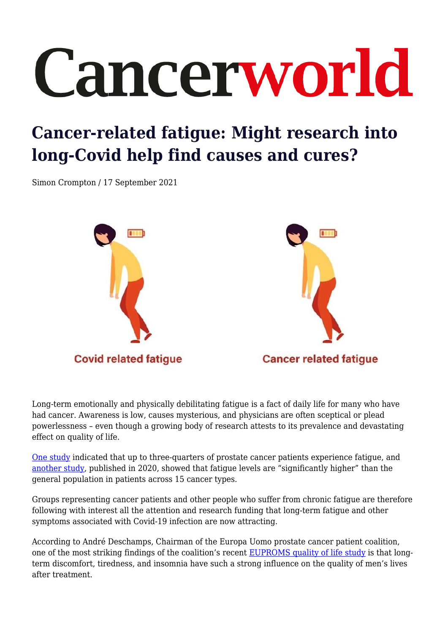# Cancerworld

# **Cancer-related fatigue: Might research into long-Covid help find causes and cures?**

Simon Crompton / 17 September 2021



Long-term emotionally and physically debilitating fatigue is a fact of daily life for many who have had cancer. Awareness is low, causes mysterious, and physicians are often sceptical or plead powerlessness – even though a growing body of research attests to its prevalence and devastating effect on quality of life.

[One study](https://pubmed.ncbi.nlm.nih.gov/23455492/) indicated that up to three-quarters of prostate cancer patients experience fatigue, and [another study](https://onlinelibrary.wiley.com/doi/full/10.1002/cam4.3413), published in 2020, showed that fatigue levels are "significantly higher" than the general population in patients across 15 cancer types.

Groups representing cancer patients and other people who suffer from chronic fatigue are therefore following with interest all the attention and research funding that long-term fatigue and other symptoms associated with Covid-19 infection are now attracting.

According to André Deschamps, Chairman of the Europa Uomo prostate cancer patient coalition, one of the most striking findings of the coalition's recent [EUPROMS quality of life study](https://www.europa-uomo.org/who-we-are/quality-of-life-2/the-euproms-study/) is that longterm discomfort, tiredness, and insomnia have such a strong influence on the quality of men's lives after treatment.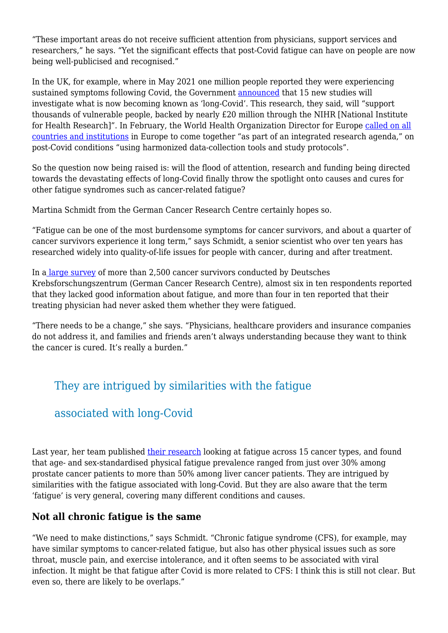"These important areas do not receive sufficient attention from physicians, support services and researchers," he says. "Yet the significant effects that post-Covid fatigue can have on people are now being well-publicised and recognised."

In the UK, for example, where in May 2021 one million people reported they were experiencing sustained symptoms following Covid, the Government [announced](https://www.gov.uk/government/news/new-research-into-treatment-and-diagnosis-of-long-covid) that 15 new studies will investigate what is now becoming known as 'long-Covid'. This research, they said, will "support thousands of vulnerable people, backed by nearly £20 million through the NIHR [National Institute for Health Research]". In February, the World Health Organization Director for Europe [called on all](https://www.euro.who.int/en/media-centre/sections/statements/2021/statement-update-on-covid-19-whoeurope-calls-for-action-on-post-covid-conditionslong-covid) [countries and institutions](https://www.euro.who.int/en/media-centre/sections/statements/2021/statement-update-on-covid-19-whoeurope-calls-for-action-on-post-covid-conditionslong-covid) in Europe to come together "as part of an integrated research agenda," on post-Covid conditions "using harmonized data-collection tools and study protocols".

So the question now being raised is: will the flood of attention, research and funding being directed towards the devastating effects of long-Covid finally throw the spotlight onto causes and cures for other fatigue syndromes such as cancer-related fatigue?

Martina Schmidt from the German Cancer Research Centre certainly hopes so.

"Fatigue can be one of the most burdensome symptoms for cancer survivors, and about a quarter of cancer survivors experience it long term," says Schmidt, a senior scientist who over ten years has researched widely into quality-of-life issues for people with cancer, during and after treatment.

In a [large survey](https://pubmed.ncbi.nlm.nih.gov/32860177/) of more than 2,500 cancer survivors conducted by Deutsches Krebsforschungszentrum (German Cancer Research Centre), almost six in ten respondents reported that they lacked good information about fatigue, and more than four in ten reported that their treating physician had never asked them whether they were fatigued.

"There needs to be a change," she says. "Physicians, healthcare providers and insurance companies do not address it, and families and friends aren't always understanding because they want to think the cancer is cured. It's really a burden."

# They are intrigued by similarities with the fatigue

### associated with long-Covid

Last year, her team published [their research](https://onlinelibrary.wiley.com/doi/full/10.1002/cam4.3413) looking at fatigue across 15 cancer types, and found that age- and sex-standardised physical fatigue prevalence ranged from just over 30% among prostate cancer patients to more than 50% among liver cancer patients. They are intrigued by similarities with the fatigue associated with long-Covid. But they are also aware that the term 'fatigue' is very general, covering many different conditions and causes.

#### **Not all chronic fatigue is the same**

"We need to make distinctions," says Schmidt. "Chronic fatigue syndrome (CFS), for example, may have similar symptoms to cancer-related fatigue, but also has other physical issues such as sore throat, muscle pain, and exercise intolerance, and it often seems to be associated with viral infection. It might be that fatigue after Covid is more related to CFS: I think this is still not clear. But even so, there are likely to be overlaps."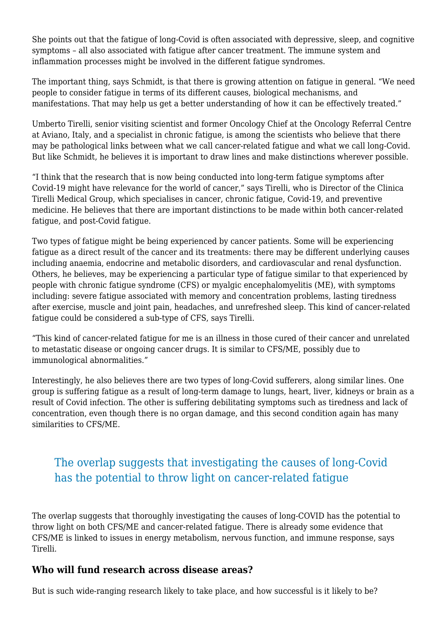She points out that the fatigue of long-Covid is often associated with depressive, sleep, and cognitive symptoms – all also associated with fatigue after cancer treatment. The immune system and inflammation processes might be involved in the different fatigue syndromes.

The important thing, says Schmidt, is that there is growing attention on fatigue in general. "We need people to consider fatigue in terms of its different causes, biological mechanisms, and manifestations. That may help us get a better understanding of how it can be effectively treated."

Umberto Tirelli, senior visiting scientist and former Oncology Chief at the Oncology Referral Centre at Aviano, Italy, and a specialist in chronic fatigue, is among the scientists who believe that there may be pathological links between what we call cancer-related fatigue and what we call long-Covid. But like Schmidt, he believes it is important to draw lines and make distinctions wherever possible.

"I think that the research that is now being conducted into long-term fatigue symptoms after Covid-19 might have relevance for the world of cancer," says Tirelli, who is Director of the Clinica Tirelli Medical Group, which specialises in cancer, chronic fatigue, Covid-19, and preventive medicine. He believes that there are important distinctions to be made within both cancer-related fatigue, and post-Covid fatigue.

Two types of fatigue might be being experienced by cancer patients. Some will be experiencing fatigue as a direct result of the cancer and its treatments: there may be different underlying causes including anaemia, endocrine and metabolic disorders, and cardiovascular and renal dysfunction. Others, he believes, may be experiencing a particular type of fatigue similar to that experienced by people with chronic fatigue syndrome (CFS) or myalgic encephalomyelitis (ME), with symptoms including: severe fatigue associated with memory and concentration problems, lasting tiredness after exercise, muscle and joint pain, headaches, and unrefreshed sleep. This kind of cancer-related fatigue could be considered a sub-type of CFS, says Tirelli.

"This kind of cancer-related fatigue for me is an illness in those cured of their cancer and unrelated to metastatic disease or ongoing cancer drugs. It is similar to CFS/ME, possibly due to immunological abnormalities."

Interestingly, he also believes there are two types of long-Covid sufferers, along similar lines. One group is suffering fatigue as a result of long-term damage to lungs, heart, liver, kidneys or brain as a result of Covid infection. The other is suffering debilitating symptoms such as tiredness and lack of concentration, even though there is no organ damage, and this second condition again has many similarities to CFS/ME.

# The overlap suggests that investigating the causes of long-Covid has the potential to throw light on cancer-related fatigue

The overlap suggests that thoroughly investigating the causes of long-COVID has the potential to throw light on both CFS/ME and cancer-related fatigue. There is already some evidence that CFS/ME is linked to issues in energy metabolism, nervous function, and immune response, says Tirelli.

#### **Who will fund research across disease areas?**

But is such wide-ranging research likely to take place, and how successful is it likely to be?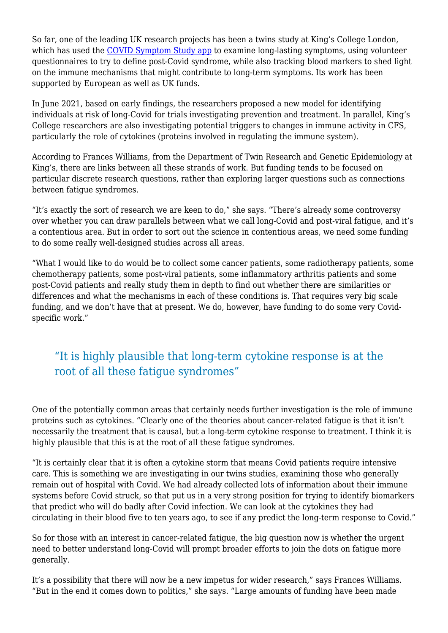So far, one of the leading UK research projects has been a twins study at King's College London, which has used the [COVID Symptom Study app](https://covid.joinzoe.com/about) to examine long-lasting symptoms, using volunteer questionnaires to try to define post-Covid syndrome, while also tracking blood markers to shed light on the immune mechanisms that might contribute to long-term symptoms. Its work has been supported by European as well as UK funds.

In June 2021, based on early findings, the researchers proposed a new model for identifying individuals at risk of long-Covid for trials investigating prevention and treatment. In parallel, King's College researchers are also investigating potential triggers to changes in immune activity in CFS, particularly the role of cytokines (proteins involved in regulating the immune system).

According to Frances Williams, from the Department of Twin Research and Genetic Epidemiology at King's, there are links between all these strands of work. But funding tends to be focused on particular discrete research questions, rather than exploring larger questions such as connections between fatigue syndromes.

"It's exactly the sort of research we are keen to do," she says. "There's already some controversy over whether you can draw parallels between what we call long-Covid and post-viral fatigue, and it's a contentious area. But in order to sort out the science in contentious areas, we need some funding to do some really well-designed studies across all areas.

"What I would like to do would be to collect some cancer patients, some radiotherapy patients, some chemotherapy patients, some post-viral patients, some inflammatory arthritis patients and some post-Covid patients and really study them in depth to find out whether there are similarities or differences and what the mechanisms in each of these conditions is. That requires very big scale funding, and we don't have that at present. We do, however, have funding to do some very Covidspecific work."

# "It is highly plausible that long-term cytokine response is at the root of all these fatigue syndromes"

One of the potentially common areas that certainly needs further investigation is the role of immune proteins such as cytokines. "Clearly one of the theories about cancer-related fatigue is that it isn't necessarily the treatment that is causal, but a long-term cytokine response to treatment. I think it is highly plausible that this is at the root of all these fatigue syndromes.

"It is certainly clear that it is often a cytokine storm that means Covid patients require intensive care. This is something we are investigating in our twins studies, examining those who generally remain out of hospital with Covid. We had already collected lots of information about their immune systems before Covid struck, so that put us in a very strong position for trying to identify biomarkers that predict who will do badly after Covid infection. We can look at the cytokines they had circulating in their blood five to ten years ago, to see if any predict the long-term response to Covid."

So for those with an interest in cancer-related fatigue, the big question now is whether the urgent need to better understand long-Covid will prompt broader efforts to join the dots on fatigue more generally.

It's a possibility that there will now be a new impetus for wider research," says Frances Williams. "But in the end it comes down to politics," she says. "Large amounts of funding have been made